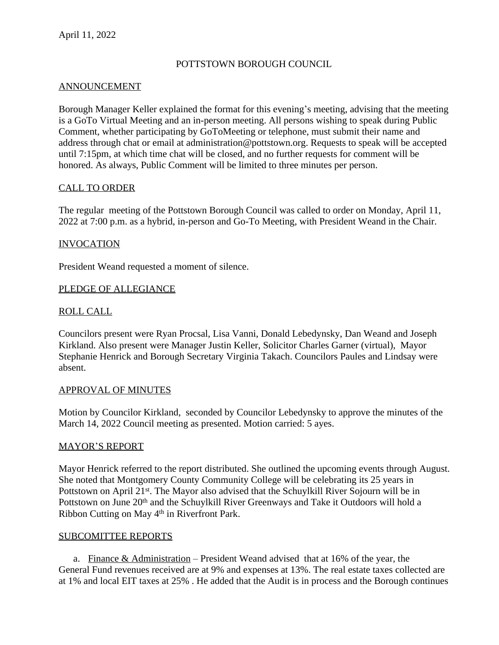### POTTSTOWN BOROUGH COUNCIL

#### ANNOUNCEMENT

Borough Manager Keller explained the format for this evening's meeting, advising that the meeting is a GoTo Virtual Meeting and an in-person meeting. All persons wishing to speak during Public Comment, whether participating by GoToMeeting or telephone, must submit their name and address through chat or email at administration@pottstown.org. Requests to speak will be accepted until 7:15pm, at which time chat will be closed, and no further requests for comment will be honored. As always, Public Comment will be limited to three minutes per person.

#### CALL TO ORDER

The regular meeting of the Pottstown Borough Council was called to order on Monday, April 11, 2022 at 7:00 p.m. as a hybrid, in-person and Go-To Meeting, with President Weand in the Chair.

#### INVOCATION

President Weand requested a moment of silence.

#### PLEDGE OF ALLEGIANCE

### ROLL CALL

Councilors present were Ryan Procsal, Lisa Vanni, Donald Lebedynsky, Dan Weand and Joseph Kirkland. Also present were Manager Justin Keller, Solicitor Charles Garner (virtual), Mayor Stephanie Henrick and Borough Secretary Virginia Takach. Councilors Paules and Lindsay were absent.

#### APPROVAL OF MINUTES

Motion by Councilor Kirkland, seconded by Councilor Lebedynsky to approve the minutes of the March 14, 2022 Council meeting as presented. Motion carried: 5 ayes.

#### MAYOR'S REPORT

Mayor Henrick referred to the report distributed. She outlined the upcoming events through August. She noted that Montgomery County Community College will be celebrating its 25 years in Pottstown on April 21<sup>st</sup>. The Mayor also advised that the Schuylkill River Sojourn will be in Pottstown on June 20<sup>th</sup> and the Schuylkill River Greenways and Take it Outdoors will hold a Ribbon Cutting on May 4<sup>th</sup> in Riverfront Park.

#### SUBCOMITTEE REPORTS

a. Finance & Administration – President Weand advised that at  $16\%$  of the year, the General Fund revenues received are at 9% and expenses at 13%. The real estate taxes collected are at 1% and local EIT taxes at 25% . He added that the Audit is in process and the Borough continues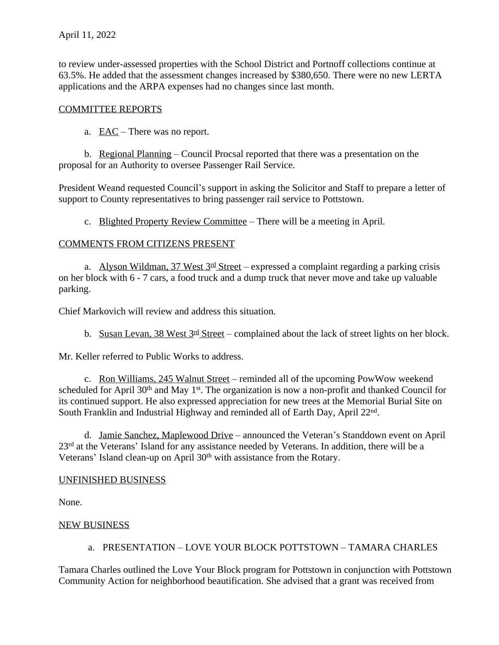to review under-assessed properties with the School District and Portnoff collections continue at 63.5%. He added that the assessment changes increased by \$380,650. There were no new LERTA applications and the ARPA expenses had no changes since last month.

### COMMITTEE REPORTS

## a. EAC – There was no report.

b. Regional Planning – Council Procsal reported that there was a presentation on the proposal for an Authority to oversee Passenger Rail Service.

President Weand requested Council's support in asking the Solicitor and Staff to prepare a letter of support to County representatives to bring passenger rail service to Pottstown.

c. Blighted Property Review Committee – There will be a meeting in April.

### COMMENTS FROM CITIZENS PRESENT

a. Alyson Wildman,  $37$  West  $3^{\text{rd}}$  Street – expressed a complaint regarding a parking crisis on her block with 6 - 7 cars, a food truck and a dump truck that never move and take up valuable parking.

Chief Markovich will review and address this situation.

b. Susan Levan, 38 West  $3<sup>rd</sup>$  Street – complained about the lack of street lights on her block.

Mr. Keller referred to Public Works to address.

c. Ron Williams, 245 Walnut Street – reminded all of the upcoming PowWow weekend scheduled for April 30<sup>th</sup> and May 1<sup>st</sup>. The organization is now a non-profit and thanked Council for its continued support. He also expressed appreciation for new trees at the Memorial Burial Site on South Franklin and Industrial Highway and reminded all of Earth Day, April 22<sup>nd</sup>.

d. Jamie Sanchez, Maplewood Drive – announced the Veteran's Standdown event on April 23<sup>rd</sup> at the Veterans' Island for any assistance needed by Veterans. In addition, there will be a Veterans' Island clean-up on April 30<sup>th</sup> with assistance from the Rotary.

### UNFINISHED BUSINESS

None.

### NEW BUSINESS

### a. PRESENTATION – LOVE YOUR BLOCK POTTSTOWN – TAMARA CHARLES

Tamara Charles outlined the Love Your Block program for Pottstown in conjunction with Pottstown Community Action for neighborhood beautification. She advised that a grant was received from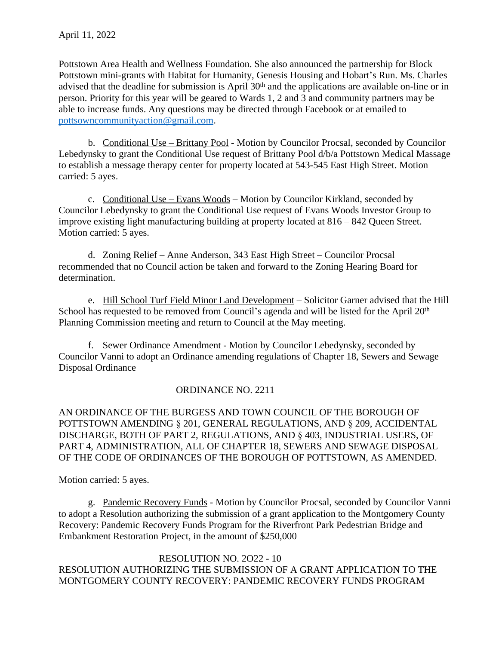Pottstown Area Health and Wellness Foundation. She also announced the partnership for Block Pottstown mini-grants with Habitat for Humanity, Genesis Housing and Hobart's Run. Ms. Charles advised that the deadline for submission is April 30<sup>th</sup> and the applications are available on-line or in person. Priority for this year will be geared to Wards 1, 2 and 3 and community partners may be able to increase funds. Any questions may be directed through Facebook or at emailed to [pottsowncommunityaction@gmail.com.](mailto:pottsowncommunityaction@gmail.com)

b. [Conditional Use](mailto:pottsowncommunityaction@gmail.com) [–](mailto:pottsowncommunityaction@gmail.com) [Brittany Pool - Motion by Councilor Procsal, seconded by Councilor](mailto:pottsowncommunityaction@gmail.com) [Lebedynsky to grant the Conditional Use request of Brittany Pool d/b/a Pottstown Medical Massage](mailto:pottsowncommunityaction@gmail.com) [to establish a message therapy center for property located at 543-545 East High Street. Motion](mailto:pottsowncommunityaction@gmail.com)  [carried: 5 ayes.](mailto:pottsowncommunityaction@gmail.com) 

c. [Conditional Use](mailto:pottsowncommunityaction@gmail.com) [–](mailto:pottsowncommunityaction@gmail.com) [Evans Woods](mailto:pottsowncommunityaction@gmail.com) [–](mailto:pottsowncommunityaction@gmail.com) [Motion](mailto:pottsowncommunityaction@gmail.com) [by Councilor Kirkland, seconded by](mailto:pottsowncommunityaction@gmail.com) [Councilor Lebedynsky to grant the Conditional Use request of Evans Woods Investor Group to](mailto:pottsowncommunityaction@gmail.com)  [improve existing light manufacturing building at property located at 816](mailto:pottsowncommunityaction@gmail.com) – 842 Queen Street[.](mailto:pottsowncommunityaction@gmail.com)  [Motion carried: 5 ayes.](mailto:pottsowncommunityaction@gmail.com) 

d. [Zoning Relief](mailto:pottsowncommunityaction@gmail.com) [–](mailto:pottsowncommunityaction@gmail.com) [Anne Anderson, 343 East High Street](mailto:pottsowncommunityaction@gmail.com) [–](mailto:pottsowncommunityaction@gmail.com) [Councilor Procsal](mailto:pottsowncommunityaction@gmail.com) [recommended that no Council action be taken and forward to the Zoning Hearing Board for](mailto:pottsowncommunityaction@gmail.com)  [determination.](mailto:pottsowncommunityaction@gmail.com) 

e. [Hill School Turf Field Minor Land Development](mailto:pottsowncommunityaction@gmail.com) [–](mailto:pottsowncommunityaction@gmail.com) [Solicitor Garner advised that the Hill](mailto:pottsowncommunityaction@gmail.com) [School has requested to be removed from Council](mailto:pottsowncommunityaction@gmail.com)['](mailto:pottsowncommunityaction@gmail.com)[s agenda and will be listed for the April 20](mailto:pottsowncommunityaction@gmail.com)<sup>[th](mailto:pottsowncommunityaction@gmail.com)</sup> [Planning Commission meeting and return to Council at the May meeting.](mailto:pottsowncommunityaction@gmail.com)

f. [Sewer Ordinance Amendment - Motion by Councilor Lebedynsky, seconded by](mailto:pottsowncommunityaction@gmail.com) [Councilor Vanni to adopt an Ordinance amending regulations of Chapter 18, Sewers and Sewage](mailto:pottsowncommunityaction@gmail.com)  [Disposal Ordinance](mailto:pottsowncommunityaction@gmail.com)

# [ORDINANCE NO. 2211](mailto:pottsowncommunityaction@gmail.com)

[AN ORDINANCE OF THE BURGESS AND TOWN](mailto:pottsowncommunityaction@gmail.com) [COUNCIL OF THE BOROUGH OF](mailto:pottsowncommunityaction@gmail.com)  [POTTSTOWN AMENDING](mailto:pottsowncommunityaction@gmail.com) [§](mailto:pottsowncommunityaction@gmail.com) [201, GENERAL REGULATIONS, AND](mailto:pottsowncommunityaction@gmail.com) [§](mailto:pottsowncommunityaction@gmail.com) [209, ACCIDENTAL](mailto:pottsowncommunityaction@gmail.com) [DISCHARGE, BOTH OF PART 2, REGULATIONS, AND](mailto:pottsowncommunityaction@gmail.com) [§](mailto:pottsowncommunityaction@gmail.com) [403,](mailto:pottsowncommunityaction@gmail.com) [INDUSTRIAL USERS, OF](mailto:pottsowncommunityaction@gmail.com)  [PART 4, ADMINISTRATION, ALL OF](mailto:pottsowncommunityaction@gmail.com) [CHAPTER 18, SEWERS AND SEWAGE DISPOSAL](mailto:pottsowncommunityaction@gmail.com) [OF THE](mailto:pottsowncommunityaction@gmail.com) [CODE OF ORDINANCES OF THE BOROUGH OF](mailto:pottsowncommunityaction@gmail.com) [POTTSTOWN, AS AMENDED.](mailto:pottsowncommunityaction@gmail.com)

[Motion carried: 5 ayes.](mailto:pottsowncommunityaction@gmail.com)

g. [Pandemic Recovery Funds - Motion by Councilor Procsal, seconded by Councilor Vanni](mailto:pottsowncommunityaction@gmail.com) [to adopt a Resolution authorizing the submission of a grant application to the Montgomery County](mailto:pottsowncommunityaction@gmail.com)  [Recovery: Pandemic Recovery Funds Program for the Riverfront Park Pedestrian Bridge and](mailto:pottsowncommunityaction@gmail.com)  [Embankment Restoration Project, in the amount of \\$250,000](mailto:pottsowncommunityaction@gmail.com)

### [RESOLUTION NO. 2O22 - 10](mailto:pottsowncommunityaction@gmail.com)

[RESOLUTION AUTHORIZING THE SUBMISSION OF A GRANT APPLICATION TO THE](mailto:pottsowncommunityaction@gmail.com)  [MONTGOMERY COUNTY RECOVERY: PANDEMIC RECOVERY FUNDS PROGRAM](mailto:pottsowncommunityaction@gmail.com)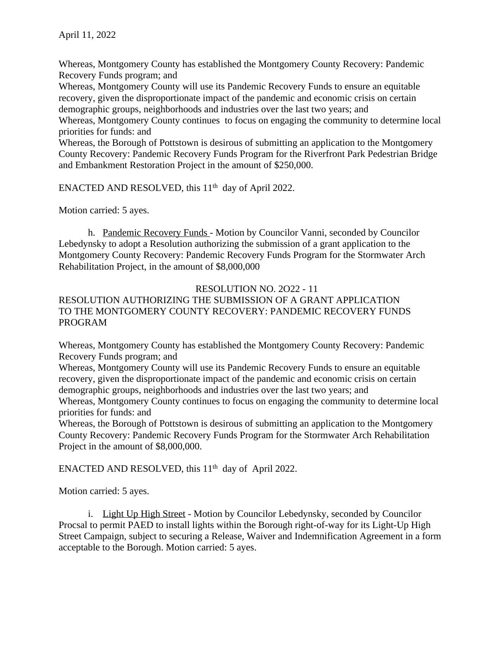Whereas, Montgomery County has established the Montgomery County Recovery: Pandemic Recovery Funds program; and

Whereas, Montgomery County will use its Pandemic Recovery Funds to ensure an equitable recovery, given the disproportionate impact of the pandemic and economic crisis on certain demographic groups, neighborhoods and industries over the last two years; and

Whereas, Montgomery County continues to focus on engaging the community to determine local priorities for funds: and

Whereas, the Borough of Pottstown is desirous of submitting an application to the Montgomery County Recovery: Pandemic Recovery Funds Program for the Riverfront Park Pedestrian Bridge and Embankment Restoration Project in the amount of \$250,000.

ENACTED AND RESOLVED, this 11<sup>th</sup> day of April 2022.

Motion carried: 5 ayes.

h. Pandemic Recovery Funds - Motion by Councilor Vanni, seconded by Councilor Lebedynsky to adopt a Resolution authorizing the submission of a grant application to the Montgomery County Recovery: Pandemic Recovery Funds Program for the Stormwater Arch Rehabilitation Project, in the amount of \$8,000,000

### RESOLUTION NO. 2O22 - 11

## RESOLUTION AUTHORIZING THE SUBMISSION OF A GRANT APPLICATION TO THE MONTGOMERY COUNTY RECOVERY: PANDEMIC RECOVERY FUNDS PROGRAM

Whereas, Montgomery County has established the Montgomery County Recovery: Pandemic Recovery Funds program; and

Whereas, Montgomery County will use its Pandemic Recovery Funds to ensure an equitable recovery, given the disproportionate impact of the pandemic and economic crisis on certain demographic groups, neighborhoods and industries over the last two years; and

Whereas, Montgomery County continues to focus on engaging the community to determine local priorities for funds: and

Whereas, the Borough of Pottstown is desirous of submitting an application to the Montgomery County Recovery: Pandemic Recovery Funds Program for the Stormwater Arch Rehabilitation Project in the amount of \$8,000,000.

ENACTED AND RESOLVED, this 11<sup>th</sup> day of April 2022.

Motion carried: 5 ayes.

i. Light Up High Street - Motion by Councilor Lebedynsky, seconded by Councilor Procsal to permit PAED to install lights within the Borough right-of-way for its Light-Up High Street Campaign, subject to securing a Release, Waiver and Indemnification Agreement in a form acceptable to the Borough. Motion carried: 5 ayes.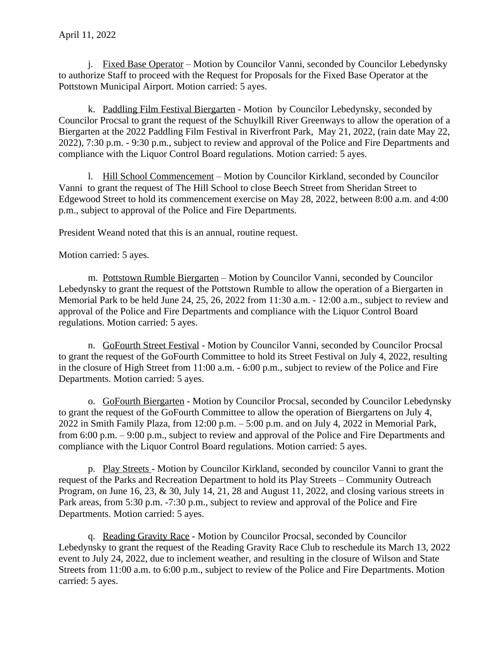j. Fixed Base Operator – Motion by Councilor Vanni, seconded by Councilor Lebedynsky to authorize Staff to proceed with the Request for Proposals for the Fixed Base Operator at the Pottstown Municipal Airport. Motion carried: 5 ayes.

k. Paddling Film Festival Biergarten - Motion by Councilor Lebedynsky, seconded by Councilor Procsal to grant the request of the Schuylkill River Greenways to allow the operation of a Biergarten at the 2022 Paddling Film Festival in Riverfront Park, May 21, 2022, (rain date May 22, 2022), 7:30 p.m. - 9:30 p.m., subject to review and approval of the Police and Fire Departments and compliance with the Liquor Control Board regulations. Motion carried: 5 ayes.

l. Hill School Commencement – Motion by Councilor Kirkland, seconded by Councilor Vanni to grant the request of The Hill School to close Beech Street from Sheridan Street to Edgewood Street to hold its commencement exercise on May 28, 2022, between 8:00 a.m. and 4:00 p.m., subject to approval of the Police and Fire Departments.

President Weand noted that this is an annual, routine request.

Motion carried: 5 ayes.

m. Pottstown Rumble Biergarten – Motion by Councilor Vanni, seconded by Councilor Lebedynsky to grant the request of the Pottstown Rumble to allow the operation of a Biergarten in Memorial Park to be held June 24, 25, 26, 2022 from 11:30 a.m. - 12:00 a.m., subject to review and approval of the Police and Fire Departments and compliance with the Liquor Control Board regulations. Motion carried: 5 ayes.

n. GoFourth Street Festival - Motion by Councilor Vanni, seconded by Councilor Procsal to grant the request of the GoFourth Committee to hold its Street Festival on July 4, 2022, resulting in the closure of High Street from 11:00 a.m. - 6:00 p.m., subject to review of the Police and Fire Departments. Motion carried: 5 ayes.

o. GoFourth Biergarten - Motion by Councilor Procsal, seconded by Councilor Lebedynsky to grant the request of the GoFourth Committee to allow the operation of Biergartens on July 4, 2022 in Smith Family Plaza, from 12:00 p.m. – 5:00 p.m. and on July 4, 2022 in Memorial Park, from 6:00 p.m. – 9:00 p.m., subject to review and approval of the Police and Fire Departments and compliance with the Liquor Control Board regulations. Motion carried: 5 ayes.

p. Play Streets - Motion by Councilor Kirkland, seconded by councilor Vanni to grant the request of the Parks and Recreation Department to hold its Play Streets – Community Outreach Program, on June 16, 23, & 30, July 14, 21, 28 and August 11, 2022, and closing various streets in Park areas, from 5:30 p.m. -7:30 p.m., subject to review and approval of the Police and Fire Departments. Motion carried: 5 ayes.

q. Reading Gravity Race - Motion by Councilor Procsal, seconded by Councilor Lebedynsky to grant the request of the Reading Gravity Race Club to reschedule its March 13, 2022 event to July 24, 2022, due to inclement weather, and resulting in the closure of Wilson and State Streets from 11:00 a.m. to 6:00 p.m., subject to review of the Police and Fire Departments. Motion carried: 5 ayes.